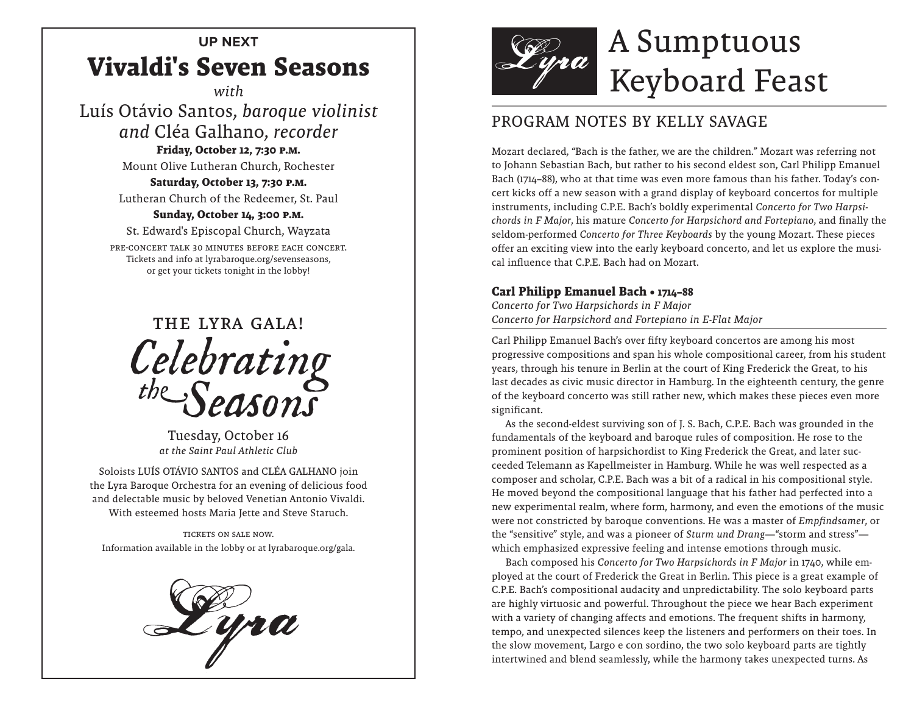# **UP NEXT Vivaldi's Seven Seasons**

*with*

Luís Otávio Santos, *baroque violinist and* Cléa Galhano, *recorder* **Friday, October 12, 7:30 p.m.**

Mount Olive Lutheran Church, Rochester

#### **Saturday, October 13, 7:30 p.m.**

Lutheran Church of the Redeemer, St. Paul

### **Sunday, October 14, 3:00 p.m.**

St. Edward's Episcopal Church, Wayzata

Pre-concert talk 30 minutes before each concert. Tickets and info at lyrabaroque.org/sevenseasons, or get your tickets tonight in the lobby!



Tuesday, October 16 *at the Saint Paul Athletic Club*

Soloists LUÍS OTÁVIO SANTOS and CLÉA GALHANO join the Lyra Baroque Orchestra for an evening of delicious food and delectable music by beloved Venetian Antonio Vivaldi. With esteemed hosts Maria Jette and Steve Staruch.

Tickets on sale now. Information available in the lobby or at lyrabaroque.org/gala.





## PROGRAM NOTES BY KELLY SAVAGE

Mozart declared, "Bach is the father, we are the children." Mozart was referring not to Johann Sebastian Bach, but rather to his second eldest son, Carl Philipp Emanuel Bach (1714–88), who at that time was even more famous than his father. Today's concert kicks off a new season with a grand display of keyboard concertos for multiple instruments, including C.P.E. Bach's boldly experimental *Concerto for Two Harpsichords in F Major*, his mature *Concerto for Harpsichord and Fortepiano*, and finally the seldom-performed *Concerto for Three Keyboards* by the young Mozart. These pieces offer an exciting view into the early keyboard concerto, and let us explore the musical influence that C.P.E. Bach had on Mozart.

#### **Carl Philipp Emanuel Bach • 1714–88**

*Concerto for Two Harpsichords in F Major Concerto for Harpsichord and Fortepiano in E-Flat Major*

Carl Philipp Emanuel Bach's over fifty keyboard concertos are among his most progressive compositions and span his whole compositional career, from his student years, through his tenure in Berlin at the court of King Frederick the Great, to his last decades as civic music director in Hamburg. In the eighteenth century, the genre of the keyboard concerto was still rather new, which makes these pieces even more significant.

As the second-eldest surviving son of J. S. Bach, C.P.E. Bach was grounded in the fundamentals of the keyboard and baroque rules of composition. He rose to the prominent position of harpsichordist to King Frederick the Great, and later succeeded Telemann as Kapellmeister in Hamburg. While he was well respected as a composer and scholar, C.P.E. Bach was a bit of a radical in his compositional style. He moved beyond the compositional language that his father had perfected into a new experimental realm, where form, harmony, and even the emotions of the music were not constricted by baroque conventions. He was a master of *Empfindsamer*, or the "sensitive" style, and was a pioneer of *Sturm und Drang*—"storm and stress" which emphasized expressive feeling and intense emotions through music.

Bach composed his *Concerto for Two Harpsichords in F Major* in 1740, while employed at the court of Frederick the Great in Berlin. This piece is a great example of C.P.E. Bach's compositional audacity and unpredictability. The solo keyboard parts are highly virtuosic and powerful. Throughout the piece we hear Bach experiment with a variety of changing affects and emotions. The frequent shifts in harmony, tempo, and unexpected silences keep the listeners and performers on their toes. In the slow movement, Largo e con sordino, the two solo keyboard parts are tightly intertwined and blend seamlessly, while the harmony takes unexpected turns. As